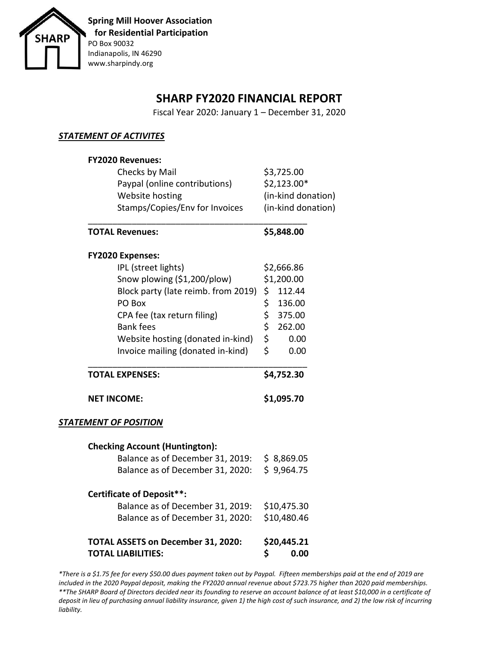

## **SHARP FY2020 FINANCIAL REPORT**

Fiscal Year 2020: January 1 – December 31, 2020

### *STATEMENT OF ACTIVITES*

| <b>FY2020 Revenues:</b>                      |                                                                                     |  |  |
|----------------------------------------------|-------------------------------------------------------------------------------------|--|--|
| Checks by Mail                               | \$3,725.00<br>\$2,123.00*<br>(in-kind donation)<br>(in-kind donation)<br>\$5,848.00 |  |  |
| Paypal (online contributions)                |                                                                                     |  |  |
| Website hosting                              |                                                                                     |  |  |
| Stamps/Copies/Env for Invoices               |                                                                                     |  |  |
| <b>TOTAL Revenues:</b>                       |                                                                                     |  |  |
| <b>FY2020 Expenses:</b>                      |                                                                                     |  |  |
| IPL (street lights)                          | \$2,666.86                                                                          |  |  |
| Snow plowing (\$1,200/plow)                  | \$1,200.00                                                                          |  |  |
| Block party (late reimb. from 2019)          | \$<br>112.44                                                                        |  |  |
| PO Box                                       | \$<br>136.00                                                                        |  |  |
| CPA fee (tax return filing)                  | \$<br>375.00                                                                        |  |  |
| <b>Bank fees</b>                             | \$<br>262.00                                                                        |  |  |
| Website hosting (donated in-kind)            | \$<br>0.00                                                                          |  |  |
| Invoice mailing (donated in-kind)            | \$<br>0.00                                                                          |  |  |
| <b>TOTAL EXPENSES:</b>                       | \$4,752.30<br>\$1,095.70                                                            |  |  |
| <b>NET INCOME:</b>                           |                                                                                     |  |  |
| <b>STATEMENT OF POSITION</b>                 |                                                                                     |  |  |
| <b>Checking Account (Huntington):</b>        |                                                                                     |  |  |
| Balance as of December 31, 2019: \$ 8,869.05 |                                                                                     |  |  |
| Balance as of December 31, 2020:             | \$9,964.75                                                                          |  |  |
| <b>Certificate of Deposit**:</b>             |                                                                                     |  |  |
| Balance as of December 31, 2019:             | \$10,475.30<br>\$10,480.46<br>\$20,445.21                                           |  |  |
| Balance as of December 31, 2020:             |                                                                                     |  |  |
| <b>TOTAL ASSETS on December 31, 2020:</b>    |                                                                                     |  |  |
|                                              |                                                                                     |  |  |

*\*There is a \$1.75 fee for every \$50.00 dues payment taken out by Paypal. Fifteen memberships paid at the end of 2019 are included in the 2020 Paypal deposit, making the FY2020 annual revenue about \$723.75 higher than 2020 paid memberships. \*\*The SHARP Board of Directors decided near its founding to reserve an account balance of at least \$10,000 in a certificate of deposit in lieu of purchasing annual liability insurance, given 1) the high cost of such insurance, and 2) the low risk of incurring liability.*